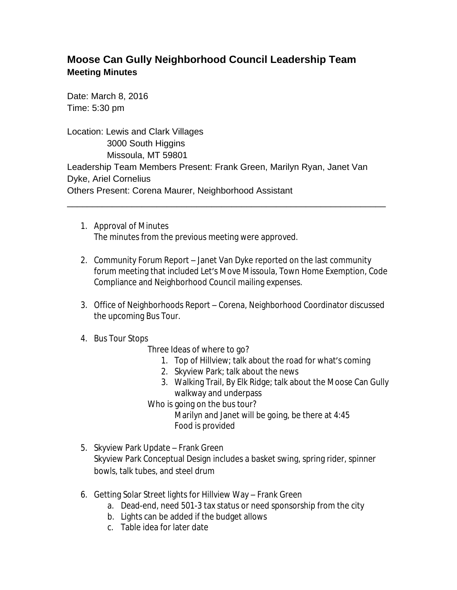## **Moose Can Gully Neighborhood Council Leadership Team Meeting Minutes**

Date: March 8, 2016 Time: 5:30 pm

Location: Lewis and Clark Villages 3000 South Higgins Missoula, MT 59801 Leadership Team Members Present: Frank Green, Marilyn Ryan, Janet Van Dyke, Ariel Cornelius Others Present: Corena Maurer, Neighborhood Assistant

\_\_\_\_\_\_\_\_\_\_\_\_\_\_\_\_\_\_\_\_\_\_\_\_\_\_\_\_\_\_\_\_\_\_\_\_\_\_\_\_\_\_\_\_\_\_\_\_\_\_\_\_\_\_\_\_\_\_\_\_\_\_\_\_

- 1. Approval of Minutes The minutes from the previous meeting were approved.
- 2. Community Forum Report Janet Van Dyke reported on the last community forum meeting that included Let's Move Missoula, Town Home Exemption, Code Compliance and Neighborhood Council mailing expenses.
- 3. Office of Neighborhoods Report Corena, Neighborhood Coordinator discussed the upcoming Bus Tour.
- 4. Bus Tour Stops

Three Ideas of where to go?

- 1. Top of Hillview; talk about the road for what's coming
- 2. Skyview Park; talk about the news
- 3. Walking Trail, By Elk Ridge; talk about the Moose Can Gully walkway and underpass

Who is going on the bus tour? Marilyn and Janet will be going, be there at 4:45 Food is provided

- 5. Skyview Park Update Frank Green Skyview Park Conceptual Design includes a basket swing, spring rider, spinner bowls, talk tubes, and steel drum
- 6. Getting Solar Street lights for Hillview Way Frank Green
	- a. Dead-end, need 501-3 tax status or need sponsorship from the city
	- b. Lights can be added if the budget allows
	- c. Table idea for later date